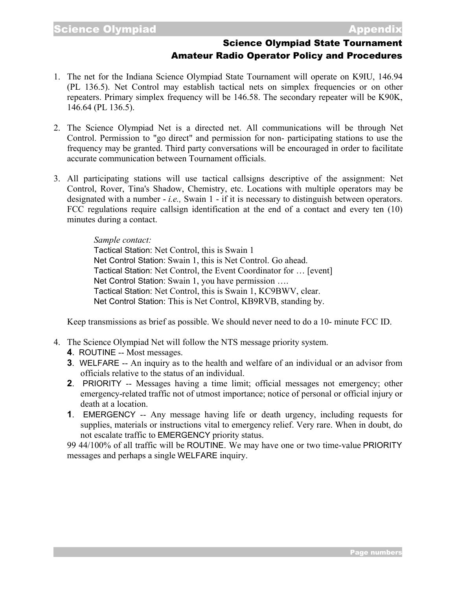## Science Olympiad State Tournament Amateur Radio Operator Policy and Procedures

- 1. The net for the Indiana Science Olympiad State Tournament will operate on K9IU, 146.94 (PL 136.5). Net Control may establish tactical nets on simplex frequencies or on other repeaters. Primary simplex frequency will be 146.58. The secondary repeater will be K90K, 146.64 (PL 136.5).
- 2. The Science Olympiad Net is a directed net. All communications will be through Net Control. Permission to "go direct" and permission for non- participating stations to use the frequency may be granted. Third party conversations will be encouraged in order to facilitate accurate communication between Tournament officials.
- 3. All participating stations will use tactical callsigns descriptive of the assignment: Net Control, Rover, Tina's Shadow, Chemistry, etc. Locations with multiple operators may be designated with a number - *i.e.,* Swain 1 - if it is necessary to distinguish between operators. FCC regulations require callsign identification at the end of a contact and every ten (10) minutes during a contact.

## *Sample contact:*

Tactical Station: Net Control, this is Swain 1 Net Control Station: Swain 1, this is Net Control. Go ahead. Tactical Station: Net Control, the Event Coordinator for … [event] Net Control Station: Swain 1, you have permission …. Tactical Station: Net Control, this is Swain 1, KC9BWV, clear. Net Control Station: This is Net Control, KB9RVB, standing by.

Keep transmissions as brief as possible. We should never need to do a 10- minute FCC ID.

- 4. The Science Olympiad Net will follow the NTS message priority system.
	- **4**. ROUTINE -- Most messages.
	- **3**. WELFARE -- An inquiry as to the health and welfare of an individual or an advisor from officials relative to the status of an individual.
	- **2**. PRIORITY -- Messages having a time limit; official messages not emergency; other emergency-related traffic not of utmost importance; notice of personal or official injury or death at a location.
	- **1**. EMERGENCY -- Any message having life or death urgency, including requests for supplies, materials or instructions vital to emergency relief. Very rare. When in doubt, do not escalate traffic to EMERGENCY priority status.

99 44/100% of all traffic will be ROUTINE. We may have one or two time-value PRIORITY messages and perhaps a single WELFARE inquiry.